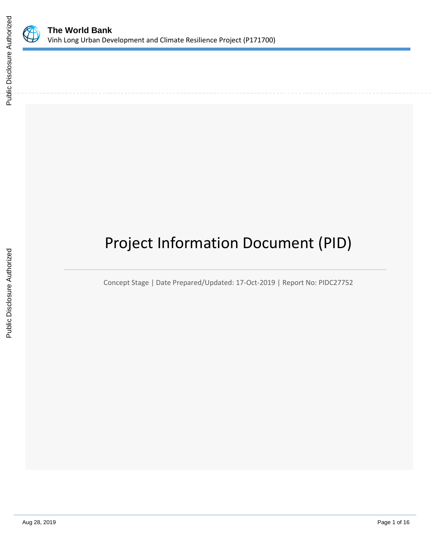

# Project Information Document (PID)

Concept Stage | Date Prepared/Updated: 17-Oct-2019 | Report No: PIDC27752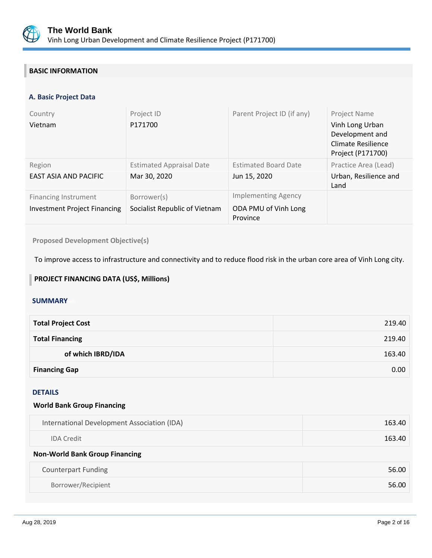

# **BASIC INFORMATION**

## **A. Basic Project Data**

| Country<br>Vietnam                                                 | Project ID<br>P171700                           | Parent Project ID (if any)                                     | Project Name<br>Vinh Long Urban<br>Development and<br>Climate Resilience<br>Project (P171700) |
|--------------------------------------------------------------------|-------------------------------------------------|----------------------------------------------------------------|-----------------------------------------------------------------------------------------------|
| Region<br><b>EAST ASIA AND PACIFIC</b>                             | <b>Estimated Appraisal Date</b><br>Mar 30, 2020 | <b>Estimated Board Date</b><br>Jun 15, 2020                    | Practice Area (Lead)<br>Urban, Resilience and<br>Land                                         |
| <b>Financing Instrument</b><br><b>Investment Project Financing</b> | Borrower(s)<br>Socialist Republic of Vietnam    | <b>Implementing Agency</b><br>ODA PMU of Vinh Long<br>Province |                                                                                               |

**Proposed Development Objective(s)** 

To improve access to infrastructure and connectivity and to reduce flood risk in the urban core area of Vinh Long city.

# **PROJECT FINANCING DATA (US\$, Millions)**

#### **SUMMARY**

| <b>Total Project Cost</b> | 219.40 |
|---------------------------|--------|
| <b>Total Financing</b>    | 219.40 |
| of which IBRD/IDA         | 163.40 |
| <b>Financing Gap</b>      | 0.00   |

#### DETAILS

#### **World Bank Group Financing**

| International Development Association (IDA) | 163.40 |  |  |
|---------------------------------------------|--------|--|--|
| <b>IDA</b> Credit                           | 163.40 |  |  |
| <b>Non-World Bank Group Financing</b>       |        |  |  |
| <b>Counterpart Funding</b>                  | 56.00  |  |  |
| Borrower/Recipient                          | 56.00  |  |  |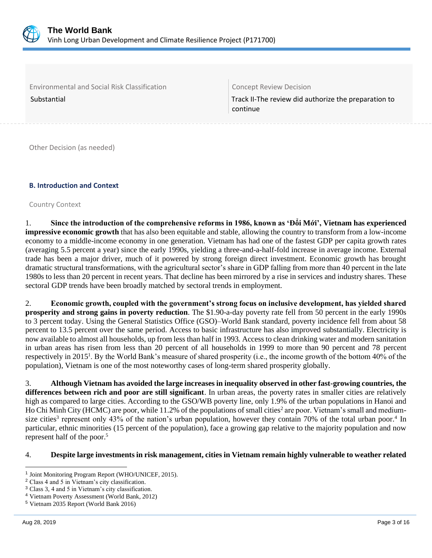

Environmental and Social Risk Classification Concept Review Decision

Substantial Track II-The review did authorize the preparation to continue

Other Decision (as needed)

## **B. Introduction and Context**

Country Context

1. **Since the introduction of the comprehensive reforms in 1986, known as 'Ðổi Mới', Vietnam has experienced impressive economic growth** that has also been equitable and stable, allowing the country to transform from a low-income economy to a middle-income economy in one generation. Vietnam has had one of the fastest GDP per capita growth rates (averaging 5.5 percent a year) since the early 1990s, yielding a three-and-a-half-fold increase in average income. External trade has been a major driver, much of it powered by strong foreign direct investment. Economic growth has brought dramatic structural transformations, with the agricultural sector's share in GDP falling from more than 40 percent in the late 1980s to less than 20 percent in recent years. That decline has been mirrored by a rise in services and industry shares. These sectoral GDP trends have been broadly matched by sectoral trends in employment.

2. **Economic growth, coupled with the government's strong focus on inclusive development, has yielded shared prosperity and strong gains in poverty reduction**. The \$1.90-a-day poverty rate fell from 50 percent in the early 1990s to 3 percent today. Using the General Statistics Office (GSO)–World Bank standard, poverty incidence fell from about 58 percent to 13.5 percent over the same period. Access to basic infrastructure has also improved substantially. Electricity is now available to almost all households, up from less than half in 1993. Access to clean drinking water and modern sanitation in urban areas has risen from less than 20 percent of all households in 1999 to more than 90 percent and 78 percent respectively in 2015<sup>1</sup>. By the World Bank's measure of shared prosperity (i.e., the income growth of the bottom 40% of the population), Vietnam is one of the most noteworthy cases of long-term shared prosperity globally.

3. **Although Vietnam has avoided the large increases in inequality observed in other fast-growing countries, the differences between rich and poor are still significant**. In urban areas, the poverty rates in smaller cities are relatively high as compared to large cities. According to the GSO/WB poverty line, only 1.9% of the urban populations in Hanoi and Ho Chi Minh City (HCMC) are poor, while 11.2% of the populations of small cities<sup>2</sup> are poor. Vietnam's small and mediumsize cities<sup>3</sup> represent only 43% of the nation's urban population, however they contain 70% of the total urban poor.<sup>4</sup> In particular, ethnic minorities (15 percent of the population), face a growing gap relative to the majority population and now represent half of the poor.<sup>5</sup>

#### 4. **Despite large investments in risk management, cities in Vietnam remain highly vulnerable to weather related**

<sup>&</sup>lt;sup>1</sup> Joint Monitoring Program Report (WHO/UNICEF, 2015).

<sup>2</sup> Class 4 and 5 in Vietnam's city classification.

<sup>3</sup> Class 3, 4 and 5 in Vietnam's city classification.

<sup>4</sup> Vietnam Poverty Assessment (World Bank, 2012)

<sup>5</sup> Vietnam 2035 Report (World Bank 2016)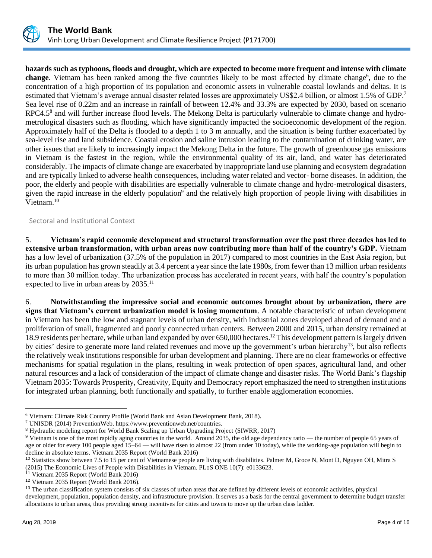

**hazards such as typhoons, floods and drought, which are expected to become more frequent and intense with climate**  change. Vietnam has been ranked among the five countries likely to be most affected by climate change<sup>6</sup>, due to the concentration of a high proportion of its population and economic assets in vulnerable coastal lowlands and deltas. It is estimated that Vietnam's average annual disaster related losses are approximately US\$2.4 billion, or almost 1.5% of GDP.<sup>7</sup> Sea level rise of 0.22m and an increase in rainfall of between 12.4% and 33.3% are expected by 2030, based on scenario RPC4.5<sup>8</sup> and will further increase flood levels. The Mekong Delta is particularly vulnerable to climate change and hydrometrological disasters such as flooding, which have significantly impacted the socioeconomic development of the region. Approximately half of the Delta is flooded to a depth 1 to 3 m annually, and the situation is being further exacerbated by sea-level rise and land subsidence. Coastal erosion and saline intrusion leading to the contamination of drinking water, are other issues that are likely to increasingly impact the Mekong Delta in the future. The growth of greenhouse gas emissions in Vietnam is the fastest in the region, while the environmental quality of its air, land, and water has deteriorated considerably. The impacts of climate change are exacerbated by inappropriate land use planning and ecosystem degradation and are typically linked to adverse health consequences, including water related and vector- borne diseases. In addition, the poor, the elderly and people with disabilities are especially vulnerable to climate change and hydro-metrological disasters, given the rapid increase in the elderly population<sup>9</sup> and the relatively high proportion of people living with disabilities in Vietnam.<sup>10</sup>

Sectoral and Institutional Context

5. **Vietnam's rapid economic development and structural transformation over the past three decades has led to extensive urban transformation, with urban areas now contributing more than half of the country's GDP.** Vietnam has a low level of urbanization (37.5% of the population in 2017) compared to most countries in the East Asia region, but its urban population has grown steadily at 3.4 percent a year since the late 1980s, from fewer than 13 million urban residents to more than 30 million today. The urbanization process has accelerated in recent years, with half the country's population expected to live in urban areas by 2035.<sup>11</sup>

6. **Notwithstanding the impressive social and economic outcomes brought about by urbanization, there are signs that Vietnam's current urbanization model is losing momentum**. A notable characteristic of urban development in Vietnam has been the low and stagnant levels of urban density, with industrial zones developed ahead of demand and a proliferation of small, fragmented and poorly connected urban centers. Between 2000 and 2015, urban density remained at 18.9 residents per hectare, while urban land expanded by over 650,000 hectares.<sup>12</sup> This development pattern is largely driven by cities' desire to generate more land related revenues and move up the government's urban hierarchy<sup>13</sup>, but also reflects the relatively weak institutions responsible for urban development and planning. There are no clear frameworks or effective mechanisms for spatial regulation in the plans, resulting in weak protection of open spaces, agricultural land, and other natural resources and a lack of consideration of the impact of climate change and disaster risks. The World Bank's flagship Vietnam 2035: Towards Prosperity, Creativity, Equity and Democracy report emphasized the need to strengthen institutions for integrated urban planning, both functionally and spatially, to further enable agglomeration economies.

<sup>6</sup> Vietnam: Climate Risk Country Profile (World Bank and Asian Development Bank, 2018).

<sup>7</sup> UNISDR (2014) PreventionWeb. [https://www.preventionweb.net/countries.](https://www.preventionweb.net/countries)

<sup>8</sup> Hydraulic modeling report for World Bank Scaling up Urban Upgrading Project (SIWRR, 2017)

<sup>&</sup>lt;sup>9</sup> Vietnam is one of the most rapidly aging countries in the world. Around 2035, the old age dependency ratio — the number of people 65 years of age or older for every 100 people aged 15–64 — will have risen to almost 22 (from under 10 today), while the working-age population will begin to decline in absolute terms. Vietnam 2035 Report (World Bank 2016)

<sup>&</sup>lt;sup>10</sup> Statistics show between 7.5 to 15 per cent of Vietnamese people are living with disabilities. Palmer M, Groce N, Mont D, Nguyen OH, Mitra S (2015) The Economic Lives of People with Disabilities in Vietnam. PLoS ONE 10(7): e0133623.

<sup>11</sup> Vietnam 2035 Report (World Bank 2016)

<sup>12</sup> Vietnam 2035 Report (World Bank 2016).

<sup>&</sup>lt;sup>13</sup> The urban classification system consists of six classes of urban areas that are defined by different levels of economic activities, physical development, population, population density, and infrastructure provision. It serves as a basis for the central government to determine budget transfer allocations to urban areas, thus providing strong incentives for cities and towns to move up the urban class ladder.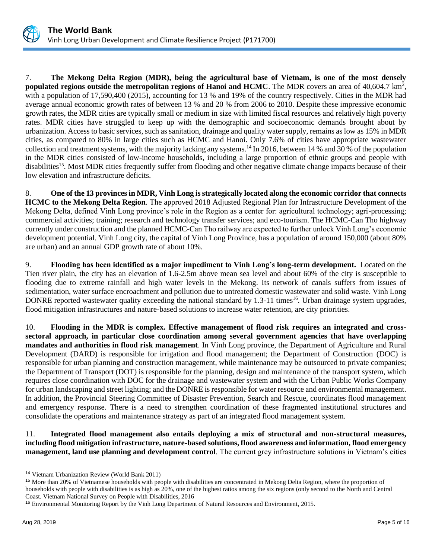

7. **The Mekong Delta Region (MDR), being the agricultural base of Vietnam, is one of the most densely populated regions outside the metropolitan regions of Hanoi and HCMC**. The MDR covers an area of 40,604.7 km<sup>2</sup>, with a population of 17,590,400 (2015), accounting for 13 % and 19% of the country respectively. Cities in the MDR had average annual economic growth rates of between 13 % and 20 % from 2006 to 2010. Despite these impressive economic growth rates, the MDR cities are typically small or medium in size with limited fiscal resources and relatively high poverty rates. MDR cities have struggled to keep up with the demographic and socioeconomic demands brought about by urbanization. Access to basic services, such as sanitation, drainage and quality water supply, remains as low as 15% in MDR cities, as compared to 80% in large cities such as HCMC and Hanoi. Only 7.6% of cities have appropriate wastewater collection and treatment systems, with the majority lacking any systems.<sup>14</sup> In 2016, between 14 % and 30 % of the population in the MDR cities consisted of low-income households, including a large proportion of ethnic groups and people with disabilities<sup>15</sup>. Most MDR cities frequently suffer from flooding and other negative climate change impacts because of their low elevation and infrastructure deficits.

8. **One of the 13 provinces in MDR, Vinh Long is strategically located along the economic corridor that connects HCMC to the Mekong Delta Region**. The approved 2018 Adjusted Regional Plan for Infrastructure Development of the Mekong Delta, defined Vinh Long province's role in the Region as a center for: agricultural technology; agri-processing; commercial activities; training; research and technology transfer services; and eco-tourism. The HCMC-Can Tho highway currently under construction and the planned HCMC-Can Tho railway are expected to further unlock Vinh Long's economic development potential. Vinh Long city, the capital of Vinh Long Province, has a population of around 150,000 (about 80% are urban) and an annual GDP growth rate of about 10%.

9. **Flooding has been identified as a major impediment to Vinh Long's long-term development.** Located on the Tien river plain, the city has an elevation of 1.6-2.5m above mean sea level and about 60% of the city is susceptible to flooding due to extreme rainfall and high water levels in the Mekong. Its network of canals suffers from issues of sedimentation, water surface encroachment and pollution due to untreated domestic wastewater and solid waste. Vinh Long DONRE reported wastewater quality exceeding the national standard by 1.3-11 times<sup>16</sup>. Urban drainage system upgrades, flood mitigation infrastructures and nature-based solutions to increase water retention, are city priorities.

10. **Flooding in the MDR is complex. Effective management of flood risk requires an integrated and crosssectoral approach, in particular close coordination among several government agencies that have overlapping mandates and authorities in flood risk management**. In Vinh Long province, the Department of Agriculture and Rural Development (DARD) is responsible for irrigation and flood management; the Department of Construction (DOC) is responsible for urban planning and construction management, while maintenance may be outsourced to private companies; the Department of Transport (DOT) is responsible for the planning, design and maintenance of the transport system, which requires close coordination with DOC for the drainage and wastewater system and with the Urban Public Works Company for urban landscaping and street lighting; and the DONRE is responsible for water resource and environmental management. In addition, the Provincial Steering Committee of Disaster Prevention, Search and Rescue, coordinates flood management and emergency response. There is a need to strengthen coordination of these fragmented institutional structures and consolidate the operations and maintenance strategy as part of an integrated flood management system.

11. **Integrated flood management also entails deploying a mix of structural and non-structural measures, including flood mitigation infrastructure, nature-based solutions, flood awareness and information, flood emergency management, land use planning and development control**. The current grey infrastructure solutions in Vietnam's cities

<sup>14</sup> Vietnam Urbanization Review (World Bank 2011)

<sup>&</sup>lt;sup>15</sup> More than 20% of Vietnamese households with people with disabilities are concentrated in Mekong Delta Region, where the proportion of households with people with disabilities is as high as 20%, one of the highest ratios among the six regions (only second to the North and Central Coast. Vietnam National Survey on People with Disabilities, 2016

<sup>16</sup> Environmental Monitoring Report by the Vinh Long Department of Natural Resources and Environment, 2015.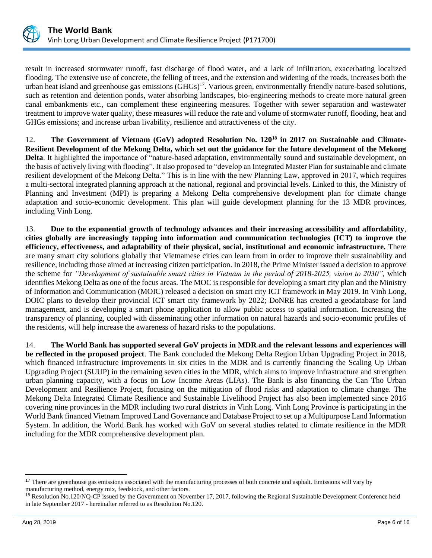

result in increased stormwater runoff, fast discharge of flood water, and a lack of infiltration, exacerbating localized flooding. The extensive use of concrete, the felling of trees, and the extension and widening of the roads, increases both the urban heat island and greenhouse gas emissions  $(GHGs)^{17}$ . Various green, environmentally friendly nature-based solutions, such as retention and detention ponds, water absorbing landscapes, bio-engineering methods to create more natural green canal embankments etc., can complement these engineering measures. Together with sewer separation and wastewater treatment to improve water quality, these measures will reduce the rate and volume of stormwater runoff, flooding, heat and GHGs emissions; and increase urban livability, resilience and attractiveness of the city.

12. **The Government of Vietnam (GoV) adopted Resolution No. 120<sup>18</sup> in 2017 on Sustainable and Climate-Resilient Development of the Mekong Delta, which set out the guidance for the future development of the Mekong Delta**. It highlighted the importance of "nature-based adaptation, environmentally sound and sustainable development, on the basis of actively living with flooding". It also proposed to "develop an Integrated Master Plan for sustainable and climate resilient development of the Mekong Delta." This is in line with the new Planning Law, approved in 2017, which requires a multi-sectoral integrated planning approach at the national, regional and provincial levels. Linked to this, the Ministry of Planning and Investment (MPI) is preparing a Mekong Delta comprehensive development plan for climate change adaptation and socio-economic development. This plan will guide development planning for the 13 MDR provinces, including Vinh Long.

13. **Due to the exponential growth of technology advances and their increasing accessibility and affordability**, **cities globally are increasingly tapping into information and communication technologies (ICT) to improve the efficiency, effectiveness, and adaptability of their physical, social, institutional and economic infrastructure.** There are many smart city solutions globally that Vietnamese cities can learn from in order to improve their sustainability and resilience, including those aimed at increasing citizen participation. In 2018, the Prime Minister issued a decision to approve the scheme for *"Development of sustainable smart cities in Vietnam in the period of 2018-2025, vision to 2030",* which identifies Mekong Delta as one of the focus areas. The MOC is responsible for developing a smart city plan and the Ministry of Information and Communication (MOIC) released a decision on smart city ICT framework in May 2019. In Vinh Long, DOIC plans to develop their provincial ICT smart city framework by 2022; DoNRE has created a geodatabase for land management, and is developing a smart phone application to allow public access to spatial information. Increasing the transparency of planning, coupled with disseminating other information on natural hazards and socio-economic profiles of the residents, will help increase the awareness of hazard risks to the populations.

14. **The World Bank has supported several GoV projects in MDR and the relevant lessons and experiences will be reflected in the proposed project**. The Bank concluded the Mekong Delta Region Urban Upgrading Project in 2018, which financed infrastructure improvements in six cities in the MDR and is currently financing the Scaling Up Urban Upgrading Project (SUUP) in the remaining seven cities in the MDR, which aims to improve infrastructure and strengthen urban planning capacity, with a focus on Low Income Areas (LIAs). The Bank is also financing the Can Tho Urban Development and Resilience Project, focusing on the mitigation of flood risks and adaptation to climate change. The Mekong Delta Integrated Climate Resilience and Sustainable Livelihood Project has also been implemented since 2016 covering nine provinces in the MDR including two rural districts in Vinh Long. Vinh Long Province is participating in the World Bank financed Vietnam Improved Land Governance and Database Project to set up a Multipurpose Land Information System. In addition, the World Bank has worked with GoV on several studies related to climate resilience in the MDR including for the MDR comprehensive development plan.

<sup>&</sup>lt;sup>17</sup> There are greenhouse gas emissions associated with the manufacturing processes of both concrete and asphalt. Emissions will vary by manufacturing method, energy mix, feedstock, and other factors.

<sup>18</sup> Resolution No.120/NQ-CP issued by the Government on November 17, 2017, following the Regional Sustainable Development Conference held in late September 2017 - hereinafter referred to as Resolution No.120.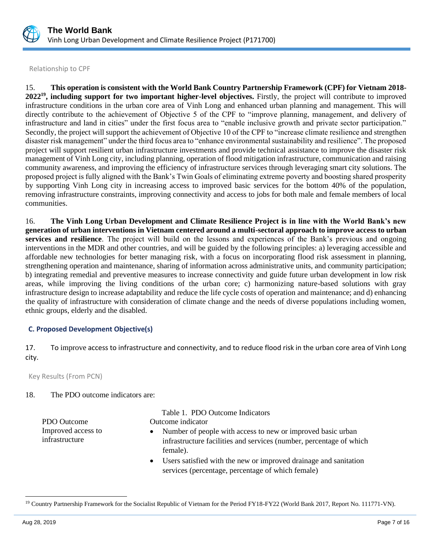

Relationship to CPF

15. **This operation is consistent with the World Bank Country Partnership Framework (CPF) for Vietnam 2018- 2022<sup>19</sup>, including support for two important higher-level objectives.** Firstly, the project will contribute to improved infrastructure conditions in the urban core area of Vinh Long and enhanced urban planning and management. This will directly contribute to the achievement of Objective 5 of the CPF to "improve planning, management, and delivery of infrastructure and land in cities" under the first focus area to "enable inclusive growth and private sector participation." Secondly, the project will support the achievement of Objective 10 of the CPF to "increase climate resilience and strengthen disaster risk management" under the third focus area to "enhance environmental sustainability and resilience". The proposed project will support resilient urban infrastructure investments and provide technical assistance to improve the disaster risk management of Vinh Long city, including planning, operation of flood mitigation infrastructure, communication and raising community awareness, and improving the efficiency of infrastructure services through leveraging smart city solutions. The proposed project is fully aligned with the Bank's Twin Goals of eliminating extreme poverty and boosting shared prosperity by supporting Vinh Long city in increasing access to improved basic services for the bottom 40% of the population, removing infrastructure constraints, improving connectivity and access to jobs for both male and female members of local communities.

16. **The Vinh Long Urban Development and Climate Resilience Project is in line with the World Bank's new generation of urban interventions in Vietnam centered around a multi-sectoral approach to improve access to urban services and resilience**. The project will build on the lessons and experiences of the Bank's previous and ongoing interventions in the MDR and other countries, and will be guided by the following principles: a) leveraging accessible and affordable new technologies for better managing risk, with a focus on incorporating flood risk assessment in planning, strengthening operation and maintenance, sharing of information across administrative units, and community participation; b) integrating remedial and preventive measures to increase connectivity and guide future urban development in low risk areas, while improving the living conditions of the urban core; c) harmonizing nature-based solutions with gray infrastructure design to increase adaptability and reduce the life cycle costs of operation and maintenance; and d) enhancing the quality of infrastructure with consideration of climate change and the needs of diverse populations including women, ethnic groups, elderly and the disabled.

#### **C. Proposed Development Objective(s)**

17. To improve access to infrastructure and connectivity, and to reduce flood risk in the urban core area of Vinh Long city.

Key Results (From PCN)

## 18. The PDO outcome indicators are:

PDO Outcome **Outcome** indicator Improved access to infrastructure

Table 1. PDO Outcome Indicators

- Number of people with access to new or improved basic urban infrastructure facilities and services (number, percentage of which female).
- Users satisfied with the new or improved drainage and sanitation services (percentage, percentage of which female)

<sup>&</sup>lt;sup>19</sup> Country Partnership Framework for the Socialist Republic of Vietnam for the Period FY18-FY22 (World Bank 2017, Report No. 111771-VN).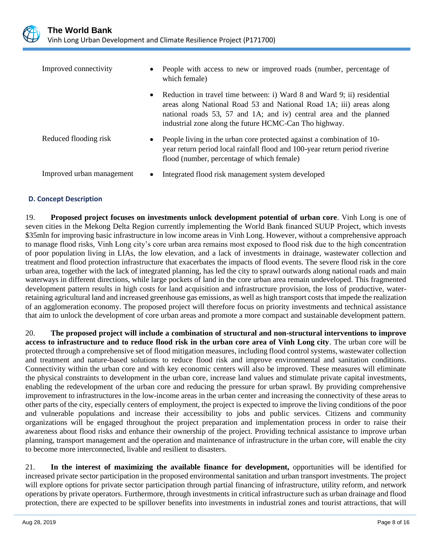

| Improved connectivity     | $\bullet$ | People with access to new or improved roads (number, percentage of<br>which female)                                                                                                                                                                                            |  |
|---------------------------|-----------|--------------------------------------------------------------------------------------------------------------------------------------------------------------------------------------------------------------------------------------------------------------------------------|--|
|                           | $\bullet$ | Reduction in travel time between: i) Ward 8 and Ward 9; ii) residential<br>areas along National Road 53 and National Road 1A; iii) areas along<br>national roads 53, 57 and 1A; and iv) central area and the planned<br>industrial zone along the future HCMC-Can Tho highway. |  |
| Reduced flooding risk     | $\bullet$ | People living in the urban core protected against a combination of 10-<br>year return period local rainfall flood and 100-year return period riverine<br>flood (number, percentage of which female)                                                                            |  |
| Improved urban management |           | Integrated flood risk management system developed                                                                                                                                                                                                                              |  |

## **D. Concept Description**

19. **Proposed project focuses on investments unlock development potential of urban core**. Vinh Long is one of seven cities in the Mekong Delta Region currently implementing the World Bank financed SUUP Project, which invests \$35mln for improving basic infrastructure in low income areas in Vinh Long. However, without a comprehensive approach to manage flood risks, Vinh Long city's core urban area remains most exposed to flood risk due to the high concentration of poor population living in LIAs, the low elevation, and a lack of investments in drainage, wastewater collection and treatment and flood protection infrastructure that exacerbates the impacts of flood events. The severe flood risk in the core urban area, together with the lack of integrated planning, has led the city to sprawl outwards along national roads and main waterways in different directions, while large pockets of land in the core urban area remain undeveloped. This fragmented development pattern results in high costs for land acquisition and infrastructure provision, the loss of productive, waterretaining agricultural land and increased greenhouse gas emissions, as well as high transport costs that impede the realization of an agglomeration economy. The proposed project will therefore focus on priority investments and technical assistance that aim to unlock the development of core urban areas and promote a more compact and sustainable development pattern.

20. **The proposed project will include a combination of structural and non-structural interventions to improve access to infrastructure and to reduce flood risk in the urban core area of Vinh Long city**. The urban core will be protected through a comprehensive set of flood mitigation measures, including flood control systems, wastewater collection and treatment and nature-based solutions to reduce flood risk and improve environmental and sanitation conditions. Connectivity within the urban core and with key economic centers will also be improved. These measures will eliminate the physical constraints to development in the urban core, increase land values and stimulate private capital investments, enabling the redevelopment of the urban core and reducing the pressure for urban sprawl. By providing comprehensive improvement to infrastructures in the low-income areas in the urban center and increasing the connectivity of these areas to other parts of the city, especially centers of employment, the project is expected to improve the living conditions of the poor and vulnerable populations and increase their accessibility to jobs and public services. Citizens and community organizations will be engaged throughout the project preparation and implementation process in order to raise their awareness about flood risks and enhance their ownership of the project. Providing technical assistance to improve urban planning, transport management and the operation and maintenance of infrastructure in the urban core, will enable the city to become more interconnected, livable and resilient to disasters.

21. **In the interest of maximizing the available finance for development,** opportunities will be identified for increased private sector participation in the proposed environmental sanitation and urban transport investments. The project will explore options for private sector participation through partial financing of infrastructure, utility reform, and network operations by private operators. Furthermore, through investments in critical infrastructure such as urban drainage and flood protection, there are expected to be spillover benefits into investments in industrial zones and tourist attractions, that will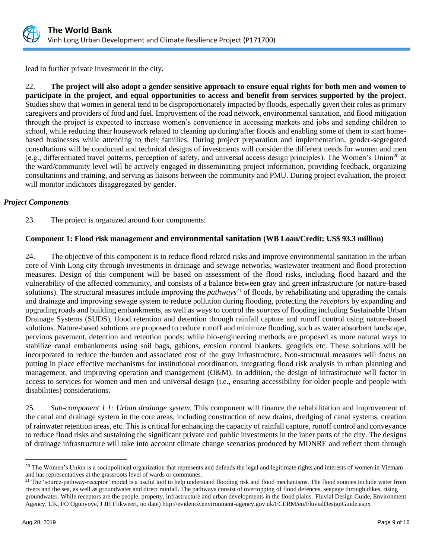

lead to further private investment in the city.

22. **The project will also adopt a gender sensitive approach to ensure equal rights for both men and women to participate in the project, and equal opportunities to access and benefit from services supported by the project**. Studies show that women in general tend to be disproportionately impacted by floods, especially given their roles as primary caregivers and providers of food and fuel. Improvement of the road network, environmental sanitation, and flood mitigation through the project is expected to increase women's convenience in accessing markets and jobs and sending children to school, while reducing their housework related to cleaning up during/after floods and enabling some of them to start homebased businesses while attending to their families. During project preparation and implementation, gender-segregated consultations will be conducted and technical designs of investments will consider the different needs for women and men (e.g., differentiated travel patterns, perception of safety, and universal access design principles). The Women's Union<sup>20</sup> at the ward/community level will be actively engaged in disseminating project information, providing feedback, organizing consultations and training, and serving as liaisons between the community and PMU. During project evaluation, the project will monitor indicators disaggregated by gender.

#### *Project Components*

23. The project is organized around four components:

## **Component 1: Flood risk management and environmental sanitation (WB Loan/Credit: US\$ 93.3 million)**

24. The objective of this component is to reduce flood related risks and improve environmental sanitation in the urban core of Vinh Long city through investments in drainage and sewage networks, wastewater treatment and flood protection measures. Design of this component will be based on assessment of the flood risks, including flood hazard and the vulnerability of the affected community, and consists of a balance between gray and green infrastructure (or nature-based solutions). The structural measures include improving the *pathways*<sup>21</sup> of floods, by rehabilitating and upgrading the canals and drainage and improving sewage system to reduce pollution during flooding, protecting the *receptors* by expanding and upgrading roads and building embankments, as well as ways to control the *sources* of flooding including Sustainable Urban Drainage Systems (SUDS), flood retention and detention through rainfall capture and runoff control using nature-based solutions. Nature-based solutions are proposed to reduce runoff and minimize flooding, such as water absorbent landscape, pervious pavement, detention and retention ponds; while bio-engineering methods are proposed as more natural ways to stabilize canal embankments using soil bags, gabions, erosion control blankets, geogrids etc. These solutions will be incorporated to reduce the burden and associated cost of the gray infrastructure. Non-structural measures will focus on putting in place effective mechanisms for institutional coordination, integrating flood risk analysis in urban planning and management, and improving operation and management (O&M). In addition, the design of infrastructure will factor in access to services for women and men and universal design (i.e., ensuring accessibility for older people and people with disabilities) considerations.

25. *Sub-component 1.1: Urban drainage system.* This component will finance the rehabilitation and improvement of the canal and drainage system in the core areas, including construction of new drains, dredging of canal systems, creation of rainwater retention areas, etc. This is critical for enhancing the capacity of rainfall capture, runoff control and conveyance to reduce flood risks and sustaining the significant private and public investments in the inner parts of the city. The designs of drainage infrastructure will take into account climate change scenarios produced by MONRE and reflect them through

<sup>&</sup>lt;sup>20</sup> The Women's Union is a sociopolitical organization that represents and defends the legal and legitimate rights and interests o[f women in Vietnam](https://en.wikipedia.org/wiki/Women_in_Vietnam) and has representatives at the grassroots level of wards or communes.

<sup>&</sup>lt;sup>21</sup> The 'source-pathway-receptor' model is a useful tool to help understand flooding risk and flood mechanisms. The flood sources include water from rivers and the sea, as well as groundwater and direct rainfall. The pathways consist of overtopping of flood defences, seepage through dikes, rising groundwater. While receptors are the people, property, infrastructure and urban developments in the flood plains. Fluvial Design Guide, Environment Agency, UK, FO Ogunyoye, J JH Flikweert, no date) http://evidence.environment-agency.gov.uk/FCERM/en/FluvialDesignGuide.aspx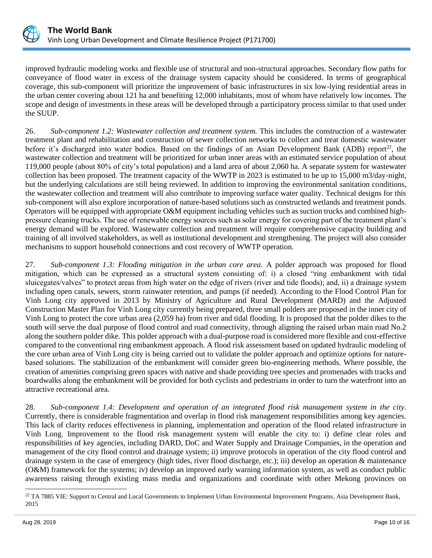

improved hydraulic modeling works and flexible use of structural and non-structural approaches. Secondary flow paths for conveyance of flood water in excess of the drainage system capacity should be considered. In terms of geographical coverage, this sub-component will prioritize the improvement of basic infrastructures in six low-lying residential areas in the urban center covering about 121 ha and benefiting 12,000 inhabitants, most of whom have relatively low incomes. The scope and design of investments in these areas will be developed through a participatory process similar to that used under the SUUP.

26. *Sub-component 1.2: Wastewater collection and treatment system.* This includes the construction of a wastewater treatment plant and rehabilitation and construction of sewer collection networks to collect and treat domestic wastewater before it's discharged into water bodies. Based on the findings of an Asian Development Bank (ADB) report<sup>22</sup>, the wastewater collection and treatment will be prioritized for urban inner areas with an estimated service population of about 119,000 people (about 80% of city's total population) and a land area of about 2,060 ha. A separate system for wastewater collection has been proposed. The treatment capacity of the WWTP in 2023 is estimated to be up to 15,000 m3/day-night, but the underlying calculations are still being reviewed. In addition to improving the environmental sanitation conditions, the wastewater collection and treatment will also contribute to improving surface water quality. Technical designs for this sub-component will also explore incorporation of nature-based solutions such as constructed wetlands and treatment ponds. Operators will be equipped with appropriate O&M equipment including vehicles such as suction trucks and combined highpressure cleaning trucks. The use of renewable energy sources such as solar energy for covering part of the treatment plant's energy demand will be explored. Wastewater collection and treatment will require comprehensive capacity building and training of all involved stakeholders, as well as institutional development and strengthening. The project will also consider mechanisms to support household connections and cost recovery of WWTP operation.

27. *Sub-component 1.3: Flooding mitigation in the urban core area.* A polder approach was proposed for flood mitigation, which can be expressed as a structural system consisting of: i) a closed "ring embankment with tidal sluicegates/valves" to protect areas from high water on the edge of rivers (river and tide floods); and, ii) a drainage system including open canals, sewers, storm rainwater retention, and pumps (if needed). According to the Flood Control Plan for Vinh Long city approved in 2013 by Ministry of Agriculture and Rural Development (MARD) and the Adjusted Construction Master Plan for Vinh Long city currently being prepared, three small polders are proposed in the inner city of Vinh Long to protect the core urban area (2,059 ha) from river and tidal flooding. It is proposed that the polder dikes to the south will serve the dual purpose of flood control and road connectivity, through aligning the raised urban main road No.2 along the southern polder dike. This polder approach with a dual-purpose road is considered more flexible and cost-effective compared to the conventional ring embankment approach. A flood risk assessment based on updated hydraulic modeling of the core urban area of Vinh Long city is being carried out to validate the polder approach and optimize options for naturebased solutions. The stabilization of the embankment will consider green bio-engineering methods. Where possible, the creation of amenities comprising green spaces with native and shade providing tree species and promenades with tracks and boardwalks along the embankment will be provided for both cyclists and pedestrians in order to turn the waterfront into an attractive recreational area.

28. *Sub-component 1.4: Development and operation of an integrated flood risk management system in the city.*  Currently, there is considerable fragmentation and overlap in flood risk management responsibilities among key agencies. This lack of clarity reduces effectiveness in planning, implementation and operation of the flood related infrastructure in Vinh Long. Improvement to the flood risk management system will enable the city to: i) define clear roles and responsibilities of key agencies, including DARD, DoC and Water Supply and Drainage Companies, in the operation and management of the city flood control and drainage system; ii) improve protocols in operation of the city flood control and drainage system in the case of emergency (high tides, river flood discharge, etc.); iii) develop an operation & maintenance (O&M) framework for the systems; iv) develop an improved early warning information system, as well as conduct public awareness raising through existing mass media and organizations and coordinate with other Mekong provinces on

<sup>&</sup>lt;sup>22</sup> TA 7885 VIE: Support to Central and Local Governments to Implement Urban Environmental Improvement Programs, Asia Development Bank, 2015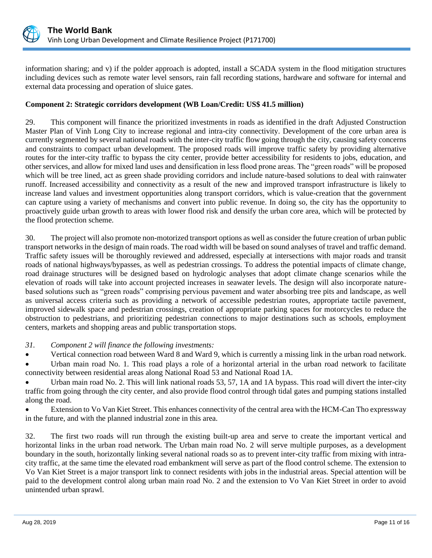

information sharing; and v) if the polder approach is adopted, install a SCADA system in the flood mitigation structures including devices such as remote water level sensors, rain fall recording stations, hardware and software for internal and external data processing and operation of sluice gates.

## **Component 2: Strategic corridors development (WB Loan/Credit: US\$ 41.5 million)**

29. This component will finance the prioritized investments in roads as identified in the draft Adjusted Construction Master Plan of Vinh Long City to increase regional and intra-city connectivity. Development of the core urban area is currently segmented by several national roads with the inter-city traffic flow going through the city, causing safety concerns and constraints to compact urban development. The proposed roads will improve traffic safety by providing alternative routes for the inter-city traffic to bypass the city center, provide better accessibility for residents to jobs, education, and other services, and allow for mixed land uses and densification in less flood prone areas. The "green roads" will be proposed which will be tree lined, act as green shade providing corridors and include nature-based solutions to deal with rainwater runoff. Increased accessibility and connectivity as a result of the new and improved transport infrastructure is likely to increase land values and investment opportunities along transport corridors, which is value-creation that the government can capture using a variety of mechanisms and convert into public revenue. In doing so, the city has the opportunity to proactively guide urban growth to areas with lower flood risk and densify the urban core area, which will be protected by the flood protection scheme.

30. The project will also promote non-motorized transport options as well as consider the future creation of urban public transport networks in the design of main roads. The road width will be based on sound analyses of travel and traffic demand. Traffic safety issues will be thoroughly reviewed and addressed, especially at intersections with major roads and transit roads of national highways/bypasses, as well as pedestrian crossings. To address the potential impacts of climate change, road drainage structures will be designed based on hydrologic analyses that adopt climate change scenarios while the elevation of roads will take into account projected increases in seawater levels. The design will also incorporate naturebased solutions such as "green roads" comprising pervious pavement and water absorbing tree pits and landscape, as well as universal access criteria such as providing a network of accessible pedestrian routes, appropriate tactile pavement, improved sidewalk space and pedestrian crossings, creation of appropriate parking spaces for motorcycles to reduce the obstruction to pedestrians, and prioritizing pedestrian connections to major destinations such as schools, employment centers, markets and shopping areas and public transportation stops.

*31. Component 2 will finance the following investments:*

• Vertical connection road between Ward 8 and Ward 9, which is currently a missing link in the urban road network.

Urban main road No. 1. This road plays a role of a horizontal arterial in the urban road network to facilitate connectivity between residential areas along National Road 53 and National Road 1A.

• Urban main road No. 2. This will link national roads 53, 57, 1A and 1A bypass. This road will divert the inter-city traffic from going through the city center, and also provide flood control through tidal gates and pumping stations installed along the road.

• Extension to Vo Van Kiet Street. This enhances connectivity of the central area with the HCM-Can Tho expressway in the future, and with the planned industrial zone in this area.

32. The first two roads will run through the existing built-up area and serve to create the important vertical and horizontal links in the urban road network. The Urban main road No. 2 will serve multiple purposes, as a development boundary in the south, horizontally linking several national roads so as to prevent inter-city traffic from mixing with intracity traffic, at the same time the elevated road embankment will serve as part of the flood control scheme. The extension to Vo Van Kiet Street is a major transport link to connect residents with jobs in the industrial areas. Special attention will be paid to the development control along urban main road No. 2 and the extension to Vo Van Kiet Street in order to avoid unintended urban sprawl.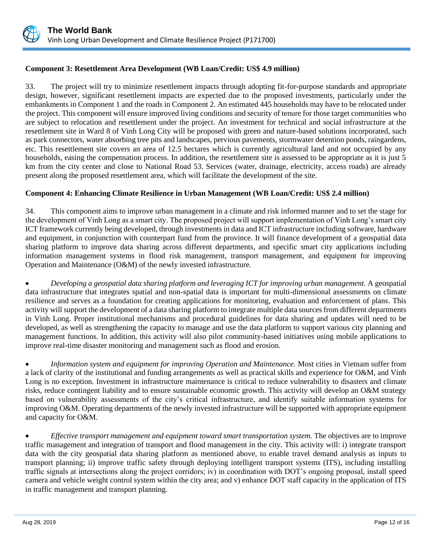

## **Component 3: Resettlement Area Development (WB Loan/Credit: US\$ 4.9 million)**

33. The project will try to minimize resettlement impacts through adopting fit-for-purpose standards and appropriate design, however, significant resettlement impacts are expected due to the proposed investments, particularly under the embankments in Component 1 and the roads in Component 2. An estimated 445 households may have to be relocated under the project. This component will ensure improved living conditions and security of tenure for those target communities who are subject to relocation and resettlement under the project. An investment for technical and social infrastructure at the resettlement site in Ward 8 of Vinh Long City will be proposed with green and nature-based solutions incorporated, such as park connectors, water absorbing tree pits and landscapes, pervious pavements, stormwater detention ponds, raingardens, etc. This resettlement site covers an area of 12.5 hectares which is currently agricultural land and not occupied by any households, easing the compensation process. In addition, the resettlement site is assessed to be appropriate as it is just 5 km from the city center and close to National Road 53. Services (water, drainage, electricity, access roads) are already present along the proposed resettlement area, which will facilitate the development of the site.

## **Component 4: Enhancing Climate Resilience in Urban Management (WB Loan/Credit: US\$ 2.4 million)**

34. This component aims to improve urban management in a climate and risk informed manner and to set the stage for the development of Vinh Long as a smart city. The proposed project will support implementation of Vinh Long's smart city ICT framework currently being developed, through investments in data and ICT infrastructure including software, hardware and equipment, in conjunction with counterpart fund from the province. It will finance development of a geospatial data sharing platform to improve data sharing across different departments, and specific smart city applications including information management systems in flood risk management, transport management, and equipment for improving Operation and Maintenance (O&M) of the newly invested infrastructure.

• *Developing a geospatial data sharing platform and leveraging ICT for improving urban management.* A geospatial data infrastructure that integrates spatial and non-spatial data is important for multi-dimensional assessments on climate resilience and serves as a foundation for creating applications for monitoring, evaluation and enforcement of plans. This activity will support the development of a data sharing platform to integrate multiple data sources from different departments in Vinh Long. Proper institutional mechanisms and procedural guidelines for data sharing and updates will need to be developed, as well as strengthening the capacity to manage and use the data platform to support various city planning and management functions. In addition, this activity will also pilot community-based initiatives using mobile applications to improve real-time disaster monitoring and management such as flood and erosion.

• *Information system and equipment for improving Operation and Maintenance.* Most cities in Vietnam suffer from a lack of clarity of the institutional and funding arrangements as well as practical skills and experience for O&M, and Vinh Long is no exception. Investment in infrastructure maintenance is critical to reduce vulnerability to disasters and climate risks, reduce contingent liability and to ensure sustainable economic growth. This activity will develop an O&M strategy based on vulnerability assessments of the city's critical infrastructure, and identify suitable information systems for improving O&M. Operating departments of the newly invested infrastructure will be supported with appropriate equipment and capacity for O&M.

• *Effective transport management and equipment toward smart transportation system.* The objectives are to improve traffic management and integration of transport and flood management in the city. This activity will: i) integrate transport data with the city geospatial data sharing platform as mentioned above, to enable travel demand analysis as inputs to transport planning; ii) improve traffic safety through deploying intelligent transport systems (ITS), including installing traffic signals at intersections along the project corridors; iv) in coordination with DOT's ongoing proposal, install speed camera and vehicle weight control system within the city area; and v) enhance DOT staff capacity in the application of ITS in traffic management and transport planning.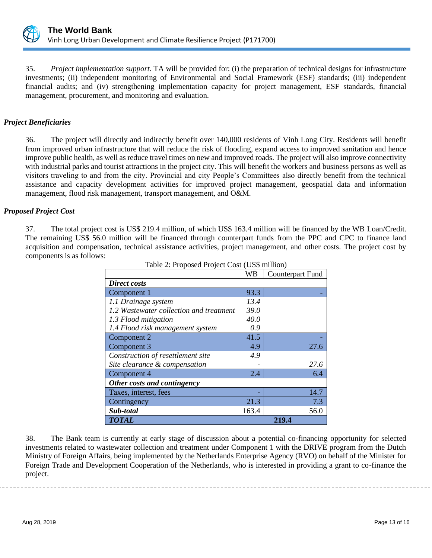

35. *Project implementation support.* TA will be provided for: (i) the preparation of technical designs for infrastructure investments; (ii) independent monitoring of Environmental and Social Framework (ESF) standards; (iii) independent financial audits; and (iv) strengthening implementation capacity for project management, ESF standards, financial management, procurement, and monitoring and evaluation.

## *Project Beneficiaries*

36. The project will directly and indirectly benefit over 140,000 residents of Vinh Long City. Residents will benefit from improved urban infrastructure that will reduce the risk of flooding, expand access to improved sanitation and hence improve public health, as well as reduce travel times on new and improved roads. The project will also improve connectivity with industrial parks and tourist attractions in the project city. This will benefit the workers and business persons as well as visitors traveling to and from the city. Provincial and city People's Committees also directly benefit from the technical assistance and capacity development activities for improved project management, geospatial data and information management, flood risk management, transport management, and O&M.

#### *Proposed Project Cost*

37. The total project cost is US\$ 219.4 million, of which US\$ 163.4 million will be financed by the WB Loan/Credit. The remaining US\$ 56.0 million will be financed through counterpart funds from the PPC and CPC to finance land acquisition and compensation, technical assistance activities, project management, and other costs. The project cost by components is as follows:

|                                         | <b>WB</b> | Counterpart Fund |
|-----------------------------------------|-----------|------------------|
| Direct costs                            |           |                  |
| Component 1                             | 93.3      |                  |
| 1.1 Drainage system                     | 13.4      |                  |
| 1.2 Wastewater collection and treatment | 39.0      |                  |
| 1.3 Flood mitigation                    | 40.0      |                  |
| 1.4 Flood risk management system        | 0.9       |                  |
| Component 2                             | 41.5      |                  |
| Component 3                             | 4.9       | 27.6             |
| Construction of resettlement site       | 4.9       |                  |
| Site clearance & compensation           |           | 27.6             |
| Component 4                             | 2.4       | 6.4              |
| Other costs and contingency             |           |                  |
| Taxes, interest, fees                   |           | 14.7             |
| Contingency                             | 21.3      | 7.3              |
| Sub-total                               | 163.4     | 56.0             |
| <b>TOTAL</b>                            |           | 219.4            |

Table 2: Proposed Project Cost (US\$ million)

38. The Bank team is currently at early stage of discussion about a potential co-financing opportunity for selected investments related to wastewater collection and treatment under Component 1 with the DRIVE program from the Dutch Ministry of Foreign Affairs, being implemented by the Netherlands Enterprise Agency (RVO) on behalf of the Minister for Foreign Trade and Development Cooperation of the Netherlands, who is interested in providing a grant to co-finance the project.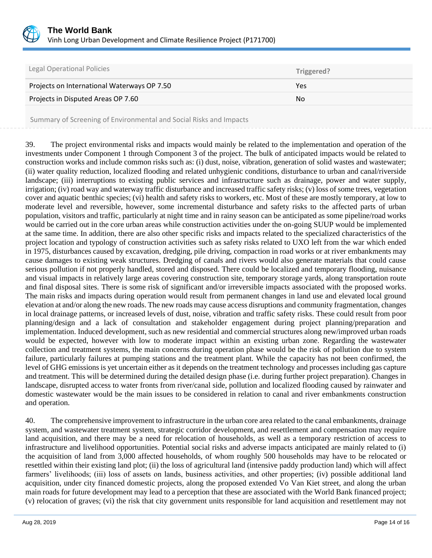

| <b>Legal Operational Policies</b>           | Triggered? |
|---------------------------------------------|------------|
| Projects on International Waterways OP 7.50 | Yes        |
| Projects in Disputed Areas OP 7.60          | No.        |
|                                             |            |

Summary of Screening of Environmental and Social Risks and Impacts

39. The project environmental risks and impacts would mainly be related to the implementation and operation of the investments under Component 1 through Component 3 of the project. The bulk of anticipated impacts would be related to construction works and include common risks such as: (i) dust, noise, vibration, generation of solid wastes and wastewater; (ii) water quality reduction, localized flooding and related unhygienic conditions, disturbance to urban and canal/riverside landscape; (iii) interruptions to existing public services and infrastructure such as drainage, power and water supply, irrigation; (iv) road way and waterway traffic disturbance and increased traffic safety risks; (v) loss of some trees, vegetation cover and aquatic benthic species; (vi) health and safety risks to workers, etc. Most of these are mostly temporary, at low to moderate level and reversible, however, some incremental disturbance and safety risks to the affected parts of urban population, visitors and traffic, particularly at night time and in rainy season can be anticipated as some pipeline/road works would be carried out in the core urban areas while construction activities under the on-going SUUP would be implemented at the same time. In addition, there are also other specific risks and impacts related to the specialized characteristics of the project location and typology of construction activities such as safety risks related to UXO left from the war which ended in 1975, disturbances caused by excavation, dredging, pile driving, compaction in road works or at river embankments may cause damages to existing weak structures. Dredging of canals and rivers would also generate materials that could cause serious pollution if not properly handled, stored and disposed. There could be localized and temporary flooding, nuisance and visual impacts in relatively large areas covering construction site, temporary storage yards, along transportation route and final disposal sites. There is some risk of significant and/or irreversible impacts associated with the proposed works. The main risks and impacts during operation would result from permanent changes in land use and elevated local ground elevation at and/or along the new roads. The new roads may cause access disruptions and community fragmentation, changes in local drainage patterns, or increased levels of dust, noise, vibration and traffic safety risks. These could result from poor planning/design and a lack of consultation and stakeholder engagement during project planning/preparation and implementation. Induced development, such as new residential and commercial structures along new/improved urban roads would be expected, however with low to moderate impact within an existing urban zone. Regarding the wastewater collection and treatment systems, the main concerns during operation phase would be the risk of pollution due to system failure, particularly failures at pumping stations and the treatment plant. While the capacity has not been confirmed, the level of GHG emissions is yet uncertain either as it depends on the treatment technology and processes including gas capture and treatment. This will be determined during the detailed design phase (i.e. during further project preparation). Changes in landscape, disrupted access to water fronts from river/canal side, pollution and localized flooding caused by rainwater and domestic wastewater would be the main issues to be considered in relation to canal and river embankments construction and operation.

40. The comprehensive improvement to infrastructure in the urban core area related to the canal embankments, drainage system, and wastewater treatment system, strategic corridor development, and resettlement and compensation may require land acquisition, and there may be a need for relocation of households, as well as a temporary restriction of access to infrastructure and livelihood opportunities. Potential social risks and adverse impacts anticipated are mainly related to (i) the acquisition of land from 3,000 affected households, of whom roughly 500 households may have to be relocated or resettled within their existing land plot; (ii) the loss of agricultural land (intensive paddy production land) which will affect farmers' livelihoods; (iii) loss of assets on lands, business activities, and other properties; (iv) possible additional land acquisition, under city financed domestic projects, along the proposed extended Vo Van Kiet street, and along the urban main roads for future development may lead to a perception that these are associated with the World Bank financed project; (v) relocation of graves; (vi) the risk that city government units responsible for land acquisition and resettlement may not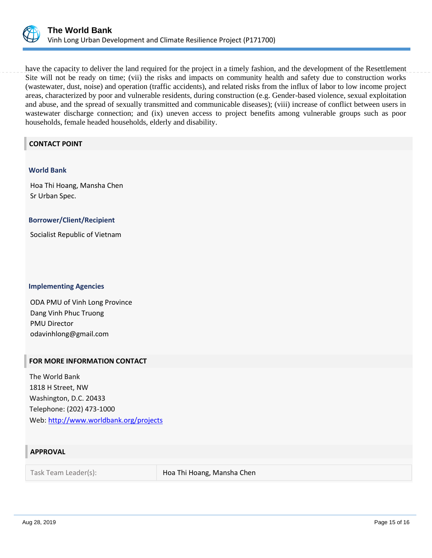

have the capacity to deliver the land required for the project in a timely fashion, and the development of the Resettlement Site will not be ready on time; (vii) the risks and impacts on community health and safety due to construction works (wastewater, dust, noise) and operation (traffic accidents), and related risks from the influx of labor to low income project areas, characterized by poor and vulnerable residents, during construction (e.g. Gender-based violence, sexual exploitation and abuse, and the spread of sexually transmitted and communicable diseases); (viii) increase of conflict between users in wastewater discharge connection; and (ix) uneven access to project benefits among vulnerable groups such as poor households, female headed households, elderly and disability.

## **CONTACT POINT**

#### **World Bank**

Hoa Thi Hoang, Mansha Chen Sr Urban Spec.

#### **Borrower/Client/Recipient**

Socialist Republic of Vietnam

#### **Implementing Agencies**

ODA PMU of Vinh Long Province Dang Vinh Phuc Truong PMU Director odavinhlong@gmail.com

#### **FOR MORE INFORMATION CONTACT**

The World Bank 1818 H Street, NW Washington, D.C. 20433 Telephone: (202) 473-1000 Web:<http://www.worldbank.org/projects>

## **APPROVAL**

Task Team Leader(s): Hoa Thi Hoang, Mansha Chen